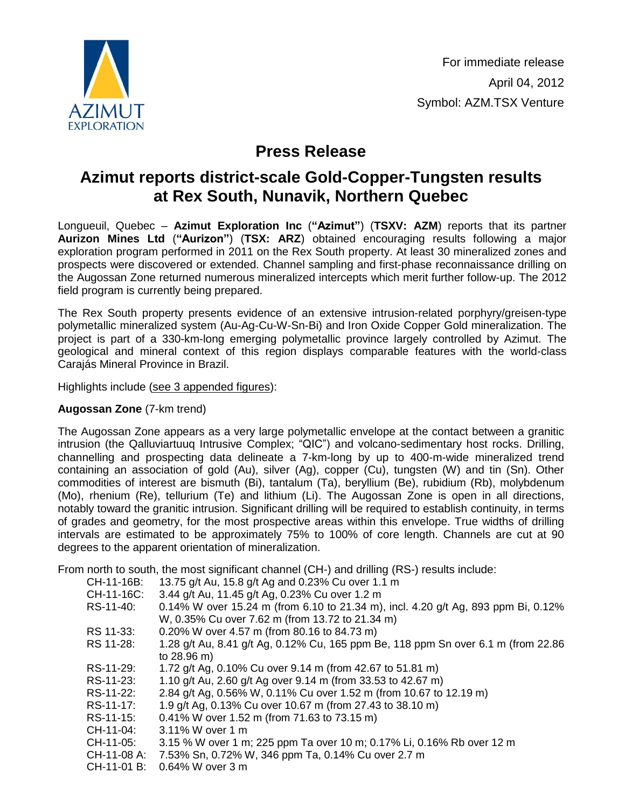

For immediate release April 04, 2012 Symbol: AZM.TSX Venture

# **Press Release**

# **Azimut reports district-scale Gold-Copper-Tungsten results at Rex South, Nunavik, Northern Quebec**

Longueuil, Quebec – **Azimut Exploration Inc** (**"Azimut"**) (**TSXV: AZM**) reports that its partner **Aurizon Mines Ltd** (**"Aurizon"**) (**TSX: ARZ**) obtained encouraging results following a major exploration program performed in 2011 on the Rex South property. At least 30 mineralized zones and prospects were discovered or extended. Channel sampling and first-phase reconnaissance drilling on the Augossan Zone returned numerous mineralized intercepts which merit further follow-up. The 2012 field program is currently being prepared.

The Rex South property presents evidence of an extensive intrusion-related porphyry/greisen-type polymetallic mineralized system (Au-Ag-Cu-W-Sn-Bi) and Iron Oxide Copper Gold mineralization. The project is part of a 330-km-long emerging polymetallic province largely controlled by Azimut. The geological and mineral context of this region displays comparable features with the world-class Carajás Mineral Province in Brazil.

Highlights include (see 3 [appended](http://www.azimut-exploration.com/en/presentations/AZM_PR_20120404_Fig1-2-3.pdf) figures):

## **Augossan Zone** (7-km trend)

The Augossan Zone appears as a very large polymetallic envelope at the contact between a granitic intrusion (the Qalluviartuuq Intrusive Complex; "QIC") and volcano-sedimentary host rocks. Drilling, channelling and prospecting data delineate a 7-km-long by up to 400-m-wide mineralized trend containing an association of gold (Au), silver (Ag), copper (Cu), tungsten (W) and tin (Sn). Other commodities of interest are bismuth (Bi), tantalum (Ta), beryllium (Be), rubidium (Rb), molybdenum (Mo), rhenium (Re), tellurium (Te) and lithium (Li). The Augossan Zone is open in all directions, notably toward the granitic intrusion. Significant drilling will be required to establish continuity, in terms of grades and geometry, for the most prospective areas within this envelope. True widths of drilling intervals are estimated to be approximately 75% to 100% of core length. Channels are cut at 90 degrees to the apparent orientation of mineralization.

From north to south, the most significant channel (CH-) and drilling (RS-) results include:

| CH-11-16B:    | 13.75 g/t Au, 15.8 g/t Ag and 0.23% Cu over 1.1 m                                 |
|---------------|-----------------------------------------------------------------------------------|
| CH-11-16C:    | 3.44 g/t Au, 11.45 g/t Ag, 0.23% Cu over 1.2 m                                    |
| RS-11-40:     | 0.14% W over 15.24 m (from 6.10 to 21.34 m), incl. 4.20 g/t Ag, 893 ppm Bi, 0.12% |
|               | W, 0.35% Cu over 7.62 m (from 13.72 to 21.34 m)                                   |
| RS 11-33:     | 0.20% W over 4.57 m (from 80.16 to 84.73 m)                                       |
| RS 11-28:     | 1.28 g/t Au, 8.41 g/t Ag, 0.12% Cu, 165 ppm Be, 118 ppm Sn over 6.1 m (from 22.86 |
|               | to 28.96 m)                                                                       |
| RS-11-29:     | 1.72 g/t Ag, 0.10% Cu over 9.14 m (from 42.67 to 51.81 m)                         |
| RS-11-23:     | 1.10 g/t Au, 2.60 g/t Ag over 9.14 m (from 33.53 to 42.67 m)                      |
| RS-11-22:     | 2.84 g/t Ag, 0.56% W, 0.11% Cu over 1.52 m (from 10.67 to 12.19 m)                |
| RS-11-17:     | 1.9 g/t Ag, 0.13% Cu over 10.67 m (from 27.43 to 38.10 m)                         |
| RS-11-15:     | 0.41% W over 1.52 m (from 71.63 to 73.15 m)                                       |
| CH-11-04:     | 3.11% W over 1 m                                                                  |
| CH-11-05:     | 3.15 % W over 1 m; 225 ppm Ta over 10 m; 0.17% Li, 0.16% Rb over 12 m             |
| CH-11-08 A: . | 7.53% Sn, 0.72% W, 346 ppm Ta, 0.14% Cu over 2.7 m                                |
| CH-11-01 B:   | 0.64% W over 3 m                                                                  |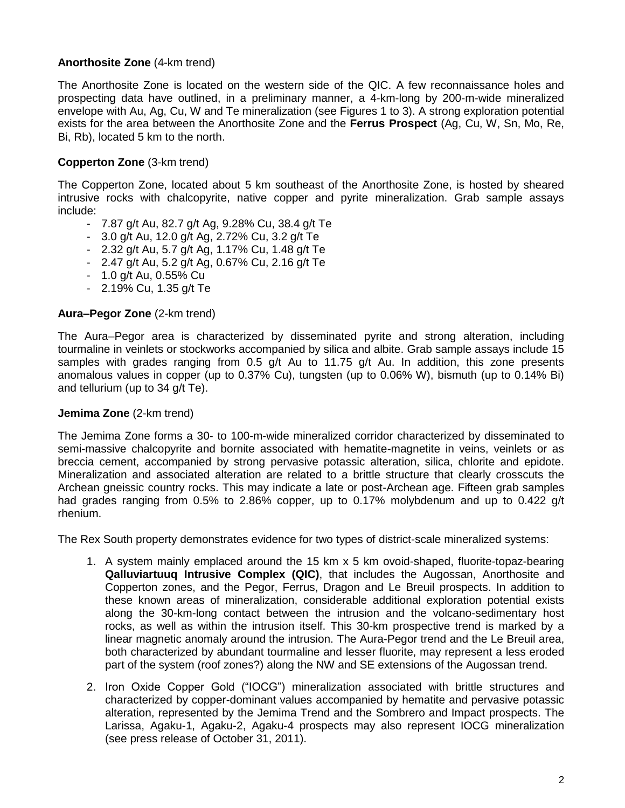## **Anorthosite Zone** (4-km trend)

The Anorthosite Zone is located on the western side of the QIC. A few reconnaissance holes and prospecting data have outlined, in a preliminary manner, a 4-km-long by 200-m-wide mineralized envelope with Au, Ag, Cu, W and Te mineralization (see Figures 1 to 3). A strong exploration potential exists for the area between the Anorthosite Zone and the **Ferrus Prospect** (Ag, Cu, W, Sn, Mo, Re, Bi, Rb), located 5 km to the north.

## **Copperton Zone** (3-km trend)

The Copperton Zone, located about 5 km southeast of the Anorthosite Zone, is hosted by sheared intrusive rocks with chalcopyrite, native copper and pyrite mineralization. Grab sample assays include:

- 7.87 g/t Au, 82.7 g/t Ag, 9.28% Cu, 38.4 g/t Te
- 3.0 g/t Au, 12.0 g/t Ag, 2.72% Cu, 3.2 g/t Te
- 2.32 g/t Au, 5.7 g/t Ag, 1.17% Cu, 1.48 g/t Te
- 2.47 g/t Au, 5.2 g/t Ag, 0.67% Cu, 2.16 g/t Te
- 1.0 g/t Au, 0.55% Cu
- 2.19% Cu, 1.35 g/t Te

#### **Aura–Pegor Zone** (2-km trend)

The Aura–Pegor area is characterized by disseminated pyrite and strong alteration, including tourmaline in veinlets or stockworks accompanied by silica and albite. Grab sample assays include 15 samples with grades ranging from 0.5 g/t Au to 11.75 g/t Au. In addition, this zone presents anomalous values in copper (up to 0.37% Cu), tungsten (up to 0.06% W), bismuth (up to 0.14% Bi) and tellurium (up to 34 g/t Te).

#### **Jemima Zone** (2-km trend)

The Jemima Zone forms a 30- to 100-m-wide mineralized corridor characterized by disseminated to semi-massive chalcopyrite and bornite associated with hematite-magnetite in veins, veinlets or as breccia cement, accompanied by strong pervasive potassic alteration, silica, chlorite and epidote. Mineralization and associated alteration are related to a brittle structure that clearly crosscuts the Archean gneissic country rocks. This may indicate a late or post-Archean age. Fifteen grab samples had grades ranging from 0.5% to 2.86% copper, up to 0.17% molybdenum and up to 0.422 g/t rhenium.

The Rex South property demonstrates evidence for two types of district-scale mineralized systems:

- 1. A system mainly emplaced around the 15 km x 5 km ovoid-shaped, fluorite-topaz-bearing **Qalluviartuuq Intrusive Complex (QIC)**, that includes the Augossan, Anorthosite and Copperton zones, and the Pegor, Ferrus, Dragon and Le Breuil prospects. In addition to these known areas of mineralization, considerable additional exploration potential exists along the 30-km-long contact between the intrusion and the volcano-sedimentary host rocks, as well as within the intrusion itself. This 30-km prospective trend is marked by a linear magnetic anomaly around the intrusion. The Aura-Pegor trend and the Le Breuil area, both characterized by abundant tourmaline and lesser fluorite, may represent a less eroded part of the system (roof zones?) along the NW and SE extensions of the Augossan trend.
- 2. Iron Oxide Copper Gold ("IOCG") mineralization associated with brittle structures and characterized by copper-dominant values accompanied by hematite and pervasive potassic alteration, represented by the Jemima Trend and the Sombrero and Impact prospects. The Larissa, Agaku-1, Agaku-2, Agaku-4 prospects may also represent IOCG mineralization (see press release of October 31, 2011).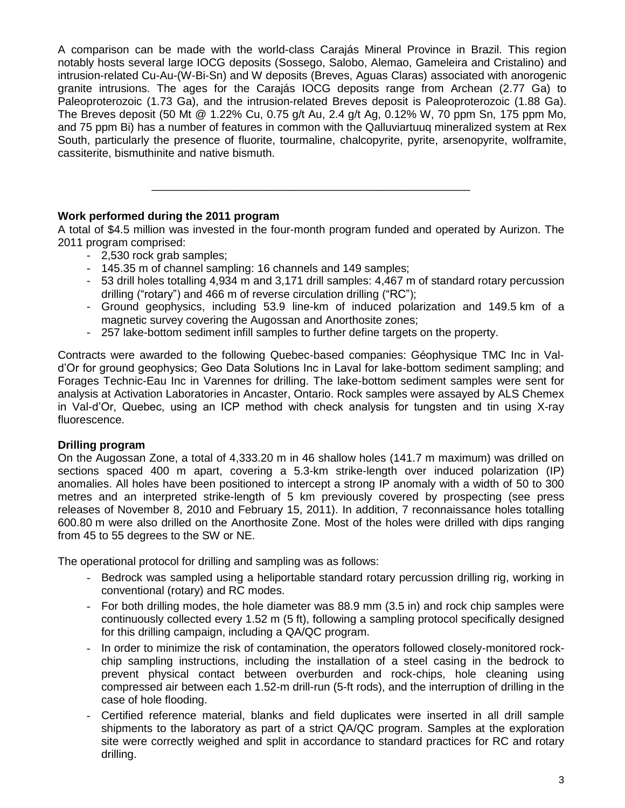A comparison can be made with the world-class Carajás Mineral Province in Brazil. This region notably hosts several large IOCG deposits (Sossego, Salobo, Alemao, Gameleira and Cristalino) and intrusion-related Cu-Au-(W-Bi-Sn) and W deposits (Breves, Aguas Claras) associated with anorogenic granite intrusions. The ages for the Carajás IOCG deposits range from Archean (2.77 Ga) to Paleoproterozoic (1.73 Ga), and the intrusion-related Breves deposit is Paleoproterozoic (1.88 Ga). The Breves deposit (50 Mt @ 1.22% Cu, 0.75 g/t Au, 2.4 g/t Ag, 0.12% W, 70 ppm Sn, 175 ppm Mo, and 75 ppm Bi) has a number of features in common with the Qalluviartuuq mineralized system at Rex South, particularly the presence of fluorite, tourmaline, chalcopyrite, pyrite, arsenopyrite, wolframite, cassiterite, bismuthinite and native bismuth.

## **Work performed during the 2011 program**

A total of \$4.5 million was invested in the four-month program funded and operated by Aurizon. The 2011 program comprised:

\_\_\_\_\_\_\_\_\_\_\_\_\_\_\_\_\_\_\_\_\_\_\_\_\_\_\_\_\_\_\_\_\_\_\_\_\_\_\_\_\_\_\_\_\_\_\_\_\_\_\_

- 2,530 rock grab samples;
- 145.35 m of channel sampling: 16 channels and 149 samples;
- 53 drill holes totalling 4,934 m and 3,171 drill samples: 4,467 m of standard rotary percussion drilling ("rotary") and 466 m of reverse circulation drilling ("RC");
- Ground geophysics, including 53.9 line-km of induced polarization and 149.5 km of a magnetic survey covering the Augossan and Anorthosite zones;
- 257 lake-bottom sediment infill samples to further define targets on the property.

Contracts were awarded to the following Quebec-based companies: Géophysique TMC Inc in Vald'Or for ground geophysics; Geo Data Solutions Inc in Laval for lake-bottom sediment sampling; and Forages Technic-Eau Inc in Varennes for drilling. The lake-bottom sediment samples were sent for analysis at Activation Laboratories in Ancaster, Ontario. Rock samples were assayed by ALS Chemex in Val-d'Or, Quebec, using an ICP method with check analysis for tungsten and tin using X-ray fluorescence.

### **Drilling program**

On the Augossan Zone, a total of 4,333.20 m in 46 shallow holes (141.7 m maximum) was drilled on sections spaced 400 m apart, covering a 5.3-km strike-length over induced polarization (IP) anomalies. All holes have been positioned to intercept a strong IP anomaly with a width of 50 to 300 metres and an interpreted strike-length of 5 km previously covered by prospecting (see press releases of November 8, 2010 and February 15, 2011). In addition, 7 reconnaissance holes totalling 600.80 m were also drilled on the Anorthosite Zone. Most of the holes were drilled with dips ranging from 45 to 55 degrees to the SW or NE.

The operational protocol for drilling and sampling was as follows:

- Bedrock was sampled using a heliportable standard rotary percussion drilling rig, working in conventional (rotary) and RC modes.
- For both drilling modes, the hole diameter was 88.9 mm (3.5 in) and rock chip samples were continuously collected every 1.52 m (5 ft), following a sampling protocol specifically designed for this drilling campaign, including a QA/QC program.
- In order to minimize the risk of contamination, the operators followed closely-monitored rockchip sampling instructions, including the installation of a steel casing in the bedrock to prevent physical contact between overburden and rock-chips, hole cleaning using compressed air between each 1.52-m drill-run (5-ft rods), and the interruption of drilling in the case of hole flooding.
- Certified reference material, blanks and field duplicates were inserted in all drill sample shipments to the laboratory as part of a strict QA/QC program. Samples at the exploration site were correctly weighed and split in accordance to standard practices for RC and rotary drilling.